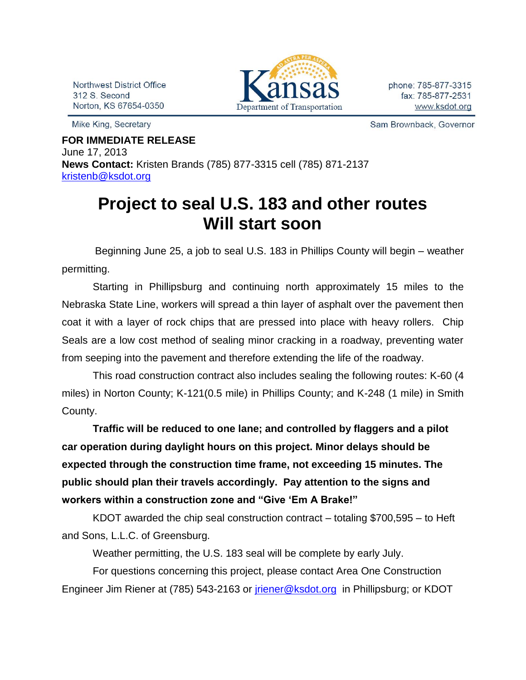Northwest District Office 312 S. Second Norton, KS 67654-0350

Mike King, Secretary



Sam Brownback, Governor

**FOR IMMEDIATE RELEASE** June 17, 2013 **News Contact:** Kristen Brands (785) 877-3315 cell (785) 871-2137 [kristenb@ksdot.org](mailto:kristenb@ksdot.org)

## **Project to seal U.S. 183 and other routes Will start soon**

 Beginning June 25, a job to seal U.S. 183 in Phillips County will begin – weather permitting.

Starting in Phillipsburg and continuing north approximately 15 miles to the Nebraska State Line, workers will spread a thin layer of asphalt over the pavement then coat it with a layer of rock chips that are pressed into place with heavy rollers. Chip Seals are a low cost method of sealing minor cracking in a roadway, preventing water from seeping into the pavement and therefore extending the life of the roadway.

This road construction contract also includes sealing the following routes: K-60 (4 miles) in Norton County; K-121(0.5 mile) in Phillips County; and K-248 (1 mile) in Smith County.

**Traffic will be reduced to one lane; and controlled by flaggers and a pilot car operation during daylight hours on this project. Minor delays should be expected through the construction time frame, not exceeding 15 minutes. The public should plan their travels accordingly. Pay attention to the signs and workers within a construction zone and "Give 'Em A Brake!"**

KDOT awarded the chip seal construction contract – totaling \$700,595 – to Heft and Sons, L.L.C. of Greensburg.

Weather permitting, the U.S. 183 seal will be complete by early July. For questions concerning this project, please contact Area One Construction Engineer Jim Riener at (785) 543-2163 or [jriener@ksdot.org](mailto:jriener@ksdot.org) in Phillipsburg; or KDOT